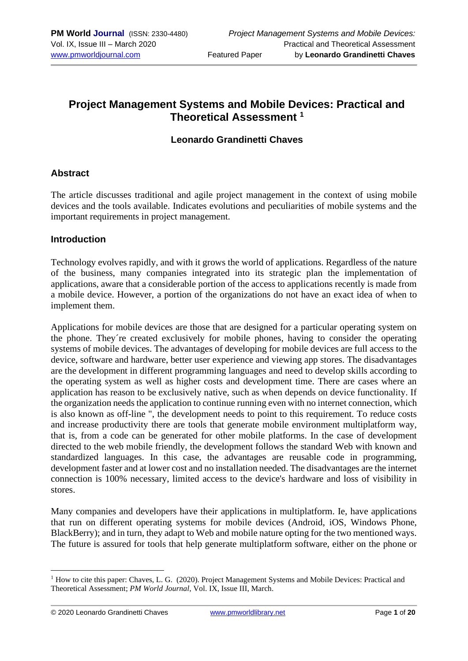## **Project Management Systems and Mobile Devices: Practical and Theoretical Assessment <sup>1</sup>**

#### **Leonardo Grandinetti Chaves**

#### **Abstract**

The article discusses traditional and agile project management in the context of using mobile devices and the tools available. Indicates evolutions and peculiarities of mobile systems and the important requirements in project management.

#### **Introduction**

Technology evolves rapidly, and with it grows the world of applications. Regardless of the nature of the business, many companies integrated into its strategic plan the implementation of applications, aware that a considerable portion of the access to applications recently is made from a mobile device. However, a portion of the organizations do not have an exact idea of when to implement them.

Applications for mobile devices are those that are designed for a particular operating system on the phone. They´re created exclusively for mobile phones, having to consider the operating systems of mobile devices. The advantages of developing for mobile devices are full access to the device, software and hardware, better user experience and viewing app stores. The disadvantages are the development in different programming languages and need to develop skills according to the operating system as well as higher costs and development time. There are cases where an application has reason to be exclusively native, such as when depends on device functionality. If the organization needs the application to continue running even with no internet connection, which is also known as off-line ", the development needs to point to this requirement. To reduce costs and increase productivity there are tools that generate mobile environment multiplatform way, that is, from a code can be generated for other mobile platforms. In the case of development directed to the web mobile friendly, the development follows the standard Web with known and standardized languages. In this case, the advantages are reusable code in programming, development faster and at lower cost and no installation needed. The disadvantages are the internet connection is 100% necessary, limited access to the device's hardware and loss of visibility in stores.

Many companies and developers have their applications in multiplatform. Ie, have applications that run on different operating systems for mobile devices (Android, iOS, Windows Phone, BlackBerry); and in turn, they adapt to Web and mobile nature opting for the two mentioned ways. The future is assured for tools that help generate multiplatform software, either on the phone or

<sup>&</sup>lt;sup>1</sup> How to cite this paper: Chaves, L. G. (2020). Project Management Systems and Mobile Devices: Practical and Theoretical Assessment; *PM World Journal*, Vol. IX, Issue III, March.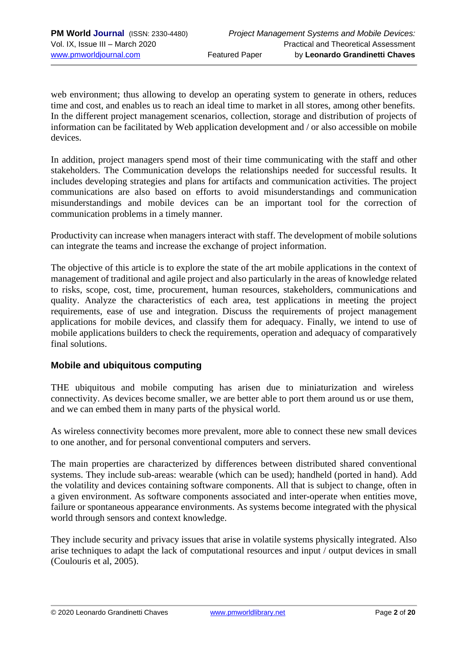web environment; thus allowing to develop an operating system to generate in others, reduces time and cost, and enables us to reach an ideal time to market in all stores, among other benefits. In the different project management scenarios, collection, storage and distribution of projects of information can be facilitated by Web application development and / or also accessible on mobile devices.

In addition, project managers spend most of their time communicating with the staff and other stakeholders. The Communication develops the relationships needed for successful results. It includes developing strategies and plans for artifacts and communication activities. The project communications are also based on efforts to avoid misunderstandings and communication misunderstandings and mobile devices can be an important tool for the correction of communication problems in a timely manner.

Productivity can increase when managers interact with staff. The development of mobile solutions can integrate the teams and increase the exchange of project information.

The objective of this article is to explore the state of the art mobile applications in the context of management of traditional and agile project and also particularly in the areas of knowledge related to risks, scope, cost, time, procurement, human resources, stakeholders, communications and quality. Analyze the characteristics of each area, test applications in meeting the project requirements, ease of use and integration. Discuss the requirements of project management applications for mobile devices, and classify them for adequacy. Finally, we intend to use of mobile applications builders to check the requirements, operation and adequacy of comparatively final solutions.

#### **Mobile and ubiquitous computing**

THE ubiquitous and mobile computing has arisen due to miniaturization and wireless connectivity. As devices become smaller, we are better able to port them around us or use them, and we can embed them in many parts of the physical world.

As wireless connectivity becomes more prevalent, more able to connect these new small devices to one another, and for personal conventional computers and servers.

The main properties are characterized by differences between distributed shared conventional systems. They include sub-areas: wearable (which can be used); handheld (ported in hand). Add the volatility and devices containing software components. All that is subject to change, often in a given environment. As software components associated and inter-operate when entities move, failure or spontaneous appearance environments. As systems become integrated with the physical world through sensors and context knowledge.

They include security and privacy issues that arise in volatile systems physically integrated. Also arise techniques to adapt the lack of computational resources and input / output devices in small (Coulouris et al, 2005).

<sup>© 2020</sup> Leonardo Grandinetti Chaves [www.pmworldlibrary.net](http://www.pmworldlibrary.net/) Page **2** of **20**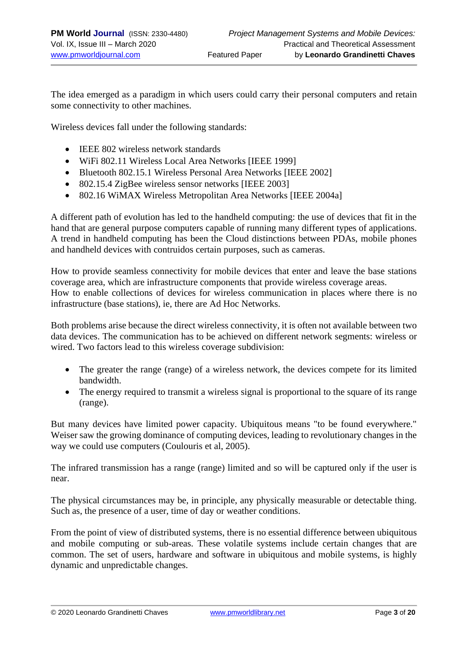The idea emerged as a paradigm in which users could carry their personal computers and retain some connectivity to other machines.

Wireless devices fall under the following standards:

- IEEE 802 wireless network standards
- WiFi 802.11 Wireless Local Area Networks [IEEE 1999]
- Bluetooth 802.15.1 Wireless Personal Area Networks [IEEE 2002]
- 802.15.4 ZigBee wireless sensor networks [IEEE 2003]
- 802.16 WiMAX Wireless Metropolitan Area Networks [IEEE 2004a]

A different path of evolution has led to the handheld computing: the use of devices that fit in the hand that are general purpose computers capable of running many different types of applications. A trend in handheld computing has been the Cloud distinctions between PDAs, mobile phones and handheld devices with contruidos certain purposes, such as cameras.

How to provide seamless connectivity for mobile devices that enter and leave the base stations coverage area, which are infrastructure components that provide wireless coverage areas. How to enable collections of devices for wireless communication in places where there is no infrastructure (base stations), ie, there are Ad Hoc Networks.

Both problems arise because the direct wireless connectivity, it is often not available between two data devices. The communication has to be achieved on different network segments: wireless or wired. Two factors lead to this wireless coverage subdivision:

- The greater the range (range) of a wireless network, the devices compete for its limited bandwidth.
- The energy required to transmit a wireless signal is proportional to the square of its range (range).

But many devices have limited power capacity. Ubiquitous means "to be found everywhere." Weiser saw the growing dominance of computing devices, leading to revolutionary changes in the way we could use computers (Coulouris et al, 2005).

The infrared transmission has a range (range) limited and so will be captured only if the user is near.

The physical circumstances may be, in principle, any physically measurable or detectable thing. Such as, the presence of a user, time of day or weather conditions.

From the point of view of distributed systems, there is no essential difference between ubiquitous and mobile computing or sub-areas. These volatile systems include certain changes that are common. The set of users, hardware and software in ubiquitous and mobile systems, is highly dynamic and unpredictable changes.

© 2020 Leonardo Grandinetti Chaves [www.pmworldlibrary.net](http://www.pmworldlibrary.net/) Page **3** of **20**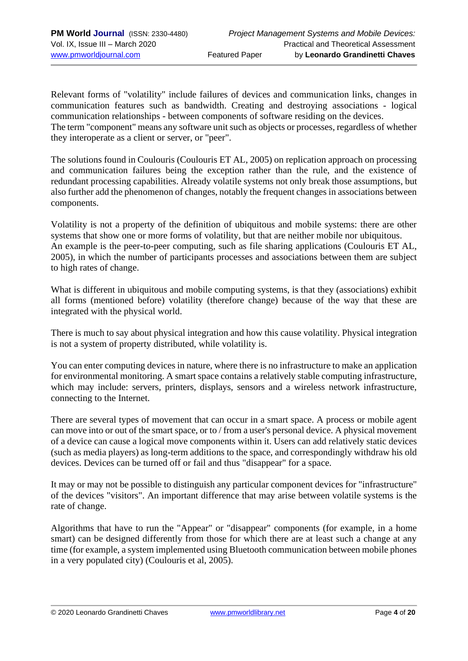Relevant forms of "volatility" include failures of devices and communication links, changes in communication features such as bandwidth. Creating and destroying associations - logical communication relationships - between components of software residing on the devices. The term "component" means any software unit such as objects or processes, regardless of whether they interoperate as a client or server, or "peer".

The solutions found in Coulouris (Coulouris ET AL, 2005) on replication approach on processing and communication failures being the exception rather than the rule, and the existence of redundant processing capabilities. Already volatile systems not only break those assumptions, but also further add the phenomenon of changes, notably the frequent changes in associations between components.

Volatility is not a property of the definition of ubiquitous and mobile systems: there are other systems that show one or more forms of volatility, but that are neither mobile nor ubiquitous. An example is the peer-to-peer computing, such as file sharing applications (Coulouris ET AL, 2005), in which the number of participants processes and associations between them are subject to high rates of change.

What is different in ubiquitous and mobile computing systems, is that they (associations) exhibit all forms (mentioned before) volatility (therefore change) because of the way that these are integrated with the physical world.

There is much to say about physical integration and how this cause volatility. Physical integration is not a system of property distributed, while volatility is.

You can enter computing devices in nature, where there is no infrastructure to make an application for environmental monitoring. A smart space contains a relatively stable computing infrastructure, which may include: servers, printers, displays, sensors and a wireless network infrastructure, connecting to the Internet.

There are several types of movement that can occur in a smart space. A process or mobile agent can move into or out of the smart space, or to / from a user's personal device. A physical movement of a device can cause a logical move components within it. Users can add relatively static devices (such as media players) as long-term additions to the space, and correspondingly withdraw his old devices. Devices can be turned off or fail and thus "disappear" for a space.

It may or may not be possible to distinguish any particular component devices for "infrastructure" of the devices "visitors". An important difference that may arise between volatile systems is the rate of change.

Algorithms that have to run the "Appear" or "disappear" components (for example, in a home smart) can be designed differently from those for which there are at least such a change at any time (for example, a system implemented using Bluetooth communication between mobile phones in a very populated city) (Coulouris et al, 2005).

© 2020 Leonardo Grandinetti Chaves [www.pmworldlibrary.net](http://www.pmworldlibrary.net/) Page **4** of **20**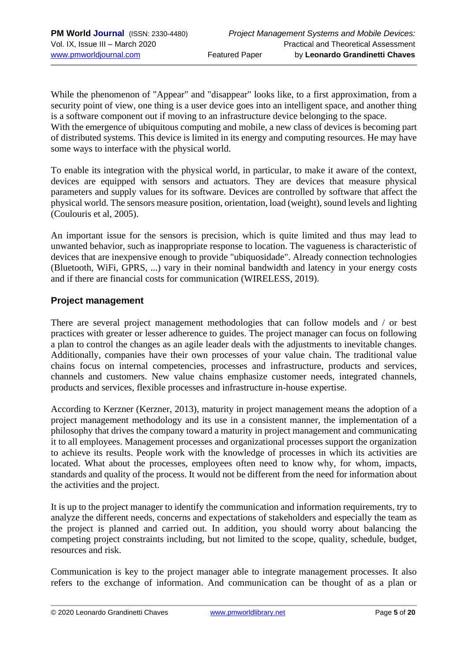While the phenomenon of "Appear" and "disappear" looks like, to a first approximation, from a security point of view, one thing is a user device goes into an intelligent space, and another thing is a software component out if moving to an infrastructure device belonging to the space. With the emergence of ubiquitous computing and mobile, a new class of devices is becoming part of distributed systems. This device is limited in its energy and computing resources. He may have some ways to interface with the physical world.

To enable its integration with the physical world, in particular, to make it aware of the context, devices are equipped with sensors and actuators. They are devices that measure physical parameters and supply values for its software. Devices are controlled by software that affect the physical world. The sensors measure position, orientation, load (weight), sound levels and lighting (Coulouris et al, 2005).

An important issue for the sensors is precision, which is quite limited and thus may lead to unwanted behavior, such as inappropriate response to location. The vagueness is characteristic of devices that are inexpensive enough to provide "ubiquosidade". Already connection technologies (Bluetooth, WiFi, GPRS, ...) vary in their nominal bandwidth and latency in your energy costs and if there are financial costs for communication (WIRELESS, 2019).

#### **Project management**

There are several project management methodologies that can follow models and / or best practices with greater or lesser adherence to guides. The project manager can focus on following a plan to control the changes as an agile leader deals with the adjustments to inevitable changes. Additionally, companies have their own processes of your value chain. The traditional value chains focus on internal competencies, processes and infrastructure, products and services, channels and customers. New value chains emphasize customer needs, integrated channels, products and services, flexible processes and infrastructure in-house expertise.

According to Kerzner (Kerzner, 2013), maturity in project management means the adoption of a project management methodology and its use in a consistent manner, the implementation of a philosophy that drives the company toward a maturity in project management and communicating it to all employees. Management processes and organizational processes support the organization to achieve its results. People work with the knowledge of processes in which its activities are located. What about the processes, employees often need to know why, for whom, impacts, standards and quality of the process. It would not be different from the need for information about the activities and the project.

It is up to the project manager to identify the communication and information requirements, try to analyze the different needs, concerns and expectations of stakeholders and especially the team as the project is planned and carried out. In addition, you should worry about balancing the competing project constraints including, but not limited to the scope, quality, schedule, budget, resources and risk.

Communication is key to the project manager able to integrate management processes. It also refers to the exchange of information. And communication can be thought of as a plan or

© 2020 Leonardo Grandinetti Chaves [www.pmworldlibrary.net](http://www.pmworldlibrary.net/) Page **5** of **20**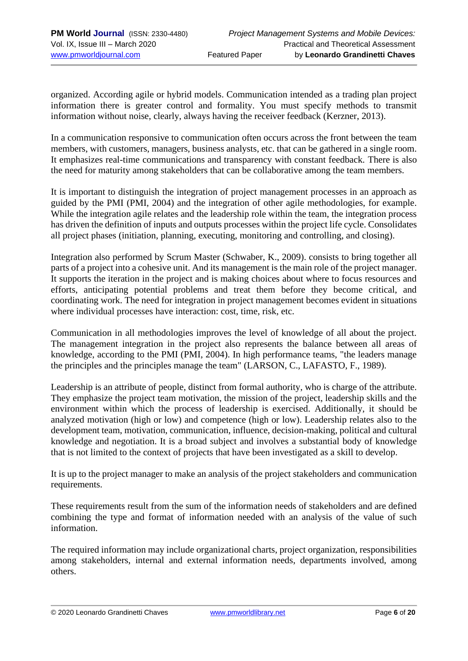organized. According agile or hybrid models. Communication intended as a trading plan project information there is greater control and formality. You must specify methods to transmit information without noise, clearly, always having the receiver feedback (Kerzner, 2013).

In a communication responsive to communication often occurs across the front between the team members, with customers, managers, business analysts, etc. that can be gathered in a single room. It emphasizes real-time communications and transparency with constant feedback. There is also the need for maturity among stakeholders that can be collaborative among the team members.

It is important to distinguish the integration of project management processes in an approach as guided by the PMI (PMI, 2004) and the integration of other agile methodologies, for example. While the integration agile relates and the leadership role within the team, the integration process has driven the definition of inputs and outputs processes within the project life cycle. Consolidates all project phases (initiation, planning, executing, monitoring and controlling, and closing).

Integration also performed by Scrum Master (Schwaber, K., 2009). consists to bring together all parts of a project into a cohesive unit. And its management is the main role of the project manager. It supports the iteration in the project and is making choices about where to focus resources and efforts, anticipating potential problems and treat them before they become critical, and coordinating work. The need for integration in project management becomes evident in situations where individual processes have interaction: cost, time, risk, etc.

Communication in all methodologies improves the level of knowledge of all about the project. The management integration in the project also represents the balance between all areas of knowledge, according to the PMI (PMI, 2004). In high performance teams, "the leaders manage the principles and the principles manage the team" (LARSON, C., LAFASTO, F., 1989).

Leadership is an attribute of people, distinct from formal authority, who is charge of the attribute. They emphasize the project team motivation, the mission of the project, leadership skills and the environment within which the process of leadership is exercised. Additionally, it should be analyzed motivation (high or low) and competence (high or low). Leadership relates also to the development team, motivation, communication, influence, decision-making, political and cultural knowledge and negotiation. It is a broad subject and involves a substantial body of knowledge that is not limited to the context of projects that have been investigated as a skill to develop.

It is up to the project manager to make an analysis of the project stakeholders and communication requirements.

These requirements result from the sum of the information needs of stakeholders and are defined combining the type and format of information needed with an analysis of the value of such information.

The required information may include organizational charts, project organization, responsibilities among stakeholders, internal and external information needs, departments involved, among others.

© 2020 Leonardo Grandinetti Chaves [www.pmworldlibrary.net](http://www.pmworldlibrary.net/) Page **6** of **20**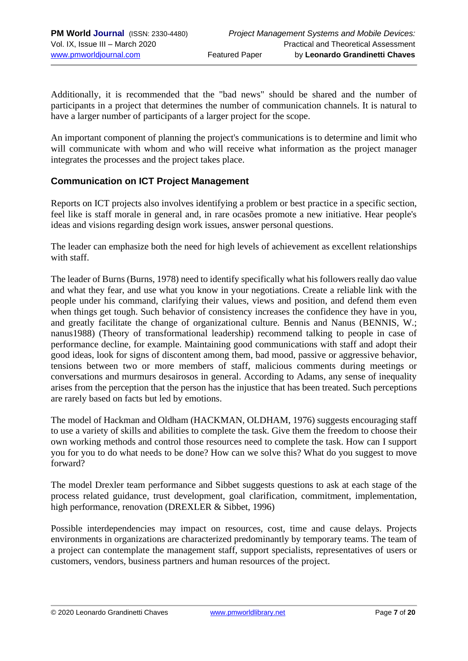Additionally, it is recommended that the "bad news" should be shared and the number of participants in a project that determines the number of communication channels. It is natural to have a larger number of participants of a larger project for the scope.

An important component of planning the project's communications is to determine and limit who will communicate with whom and who will receive what information as the project manager integrates the processes and the project takes place.

#### **Communication on ICT Project Management**

Reports on ICT projects also involves identifying a problem or best practice in a specific section, feel like is staff morale in general and, in rare ocasões promote a new initiative. Hear people's ideas and visions regarding design work issues, answer personal questions.

The leader can emphasize both the need for high levels of achievement as excellent relationships with staff.

The leader of Burns (Burns, 1978) need to identify specifically what his followers really dao value and what they fear, and use what you know in your negotiations. Create a reliable link with the people under his command, clarifying their values, views and position, and defend them even when things get tough. Such behavior of consistency increases the confidence they have in you, and greatly facilitate the change of organizational culture. Bennis and Nanus (BENNIS, W.; nanus1988) (Theory of transformational leadership) recommend talking to people in case of performance decline, for example. Maintaining good communications with staff and adopt their good ideas, look for signs of discontent among them, bad mood, passive or aggressive behavior, tensions between two or more members of staff, malicious comments during meetings or conversations and murmurs desairosos in general. According to Adams, any sense of inequality arises from the perception that the person has the injustice that has been treated. Such perceptions are rarely based on facts but led by emotions.

The model of Hackman and Oldham (HACKMAN, OLDHAM, 1976) suggests encouraging staff to use a variety of skills and abilities to complete the task. Give them the freedom to choose their own working methods and control those resources need to complete the task. How can I support you for you to do what needs to be done? How can we solve this? What do you suggest to move forward?

The model Drexler team performance and Sibbet suggests questions to ask at each stage of the process related guidance, trust development, goal clarification, commitment, implementation, high performance, renovation (DREXLER & Sibbet, 1996)

Possible interdependencies may impact on resources, cost, time and cause delays. Projects environments in organizations are characterized predominantly by temporary teams. The team of a project can contemplate the management staff, support specialists, representatives of users or customers, vendors, business partners and human resources of the project.

© 2020 Leonardo Grandinetti Chaves [www.pmworldlibrary.net](http://www.pmworldlibrary.net/) Page **7** of **20**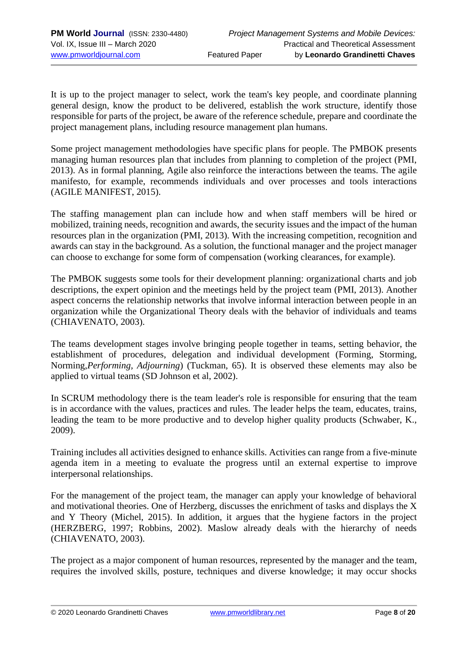It is up to the project manager to select, work the team's key people, and coordinate planning general design, know the product to be delivered, establish the work structure, identify those responsible for parts of the project, be aware of the reference schedule, prepare and coordinate the project management plans, including resource management plan humans.

Some project management methodologies have specific plans for people. The PMBOK presents managing human resources plan that includes from planning to completion of the project (PMI, 2013). As in formal planning, Agile also reinforce the interactions between the teams. The agile manifesto, for example, recommends individuals and over processes and tools interactions (AGILE MANIFEST, 2015).

The staffing management plan can include how and when staff members will be hired or mobilized, training needs, recognition and awards, the security issues and the impact of the human resources plan in the organization (PMI, 2013). With the increasing competition, recognition and awards can stay in the background. As a solution, the functional manager and the project manager can choose to exchange for some form of compensation (working clearances, for example).

The PMBOK suggests some tools for their development planning: organizational charts and job descriptions, the expert opinion and the meetings held by the project team (PMI, 2013). Another aspect concerns the relationship networks that involve informal interaction between people in an organization while the Organizational Theory deals with the behavior of individuals and teams (CHIAVENATO, 2003).

The teams development stages involve bringing people together in teams, setting behavior, the establishment of procedures, delegation and individual development (Forming, Storming, Norming,*Performing, Adjourning*) (Tuckman, 65). It is observed these elements may also be applied to virtual teams (SD Johnson et al, 2002).

In SCRUM methodology there is the team leader's role is responsible for ensuring that the team is in accordance with the values, practices and rules. The leader helps the team, educates, trains, leading the team to be more productive and to develop higher quality products (Schwaber, K., 2009).

Training includes all activities designed to enhance skills. Activities can range from a five-minute agenda item in a meeting to evaluate the progress until an external expertise to improve interpersonal relationships.

For the management of the project team, the manager can apply your knowledge of behavioral and motivational theories. One of Herzberg, discusses the enrichment of tasks and displays the X and Y Theory (Michel, 2015). In addition, it argues that the hygiene factors in the project (HERZBERG, 1997; Robbins, 2002). Maslow already deals with the hierarchy of needs (CHIAVENATO, 2003).

The project as a major component of human resources, represented by the manager and the team, requires the involved skills, posture, techniques and diverse knowledge; it may occur shocks

© 2020 Leonardo Grandinetti Chaves [www.pmworldlibrary.net](http://www.pmworldlibrary.net/) Page **8** of **20**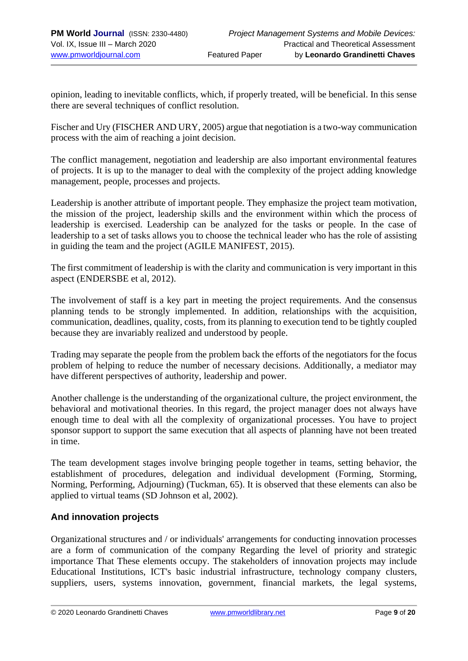opinion, leading to inevitable conflicts, which, if properly treated, will be beneficial. In this sense there are several techniques of conflict resolution.

Fischer and Ury (FISCHER AND URY, 2005) argue that negotiation is a two-way communication process with the aim of reaching a joint decision.

The conflict management, negotiation and leadership are also important environmental features of projects. It is up to the manager to deal with the complexity of the project adding knowledge management, people, processes and projects.

Leadership is another attribute of important people. They emphasize the project team motivation, the mission of the project, leadership skills and the environment within which the process of leadership is exercised. Leadership can be analyzed for the tasks or people. In the case of leadership to a set of tasks allows you to choose the technical leader who has the role of assisting in guiding the team and the project (AGILE MANIFEST, 2015).

The first commitment of leadership is with the clarity and communication is very important in this aspect (ENDERSBE et al, 2012).

The involvement of staff is a key part in meeting the project requirements. And the consensus planning tends to be strongly implemented. In addition, relationships with the acquisition, communication, deadlines, quality, costs, from its planning to execution tend to be tightly coupled because they are invariably realized and understood by people.

Trading may separate the people from the problem back the efforts of the negotiators for the focus problem of helping to reduce the number of necessary decisions. Additionally, a mediator may have different perspectives of authority, leadership and power.

Another challenge is the understanding of the organizational culture, the project environment, the behavioral and motivational theories. In this regard, the project manager does not always have enough time to deal with all the complexity of organizational processes. You have to project sponsor support to support the same execution that all aspects of planning have not been treated in time.

The team development stages involve bringing people together in teams, setting behavior, the establishment of procedures, delegation and individual development (Forming, Storming, Norming, Performing, Adjourning) (Tuckman, 65). It is observed that these elements can also be applied to virtual teams (SD Johnson et al, 2002).

## **And innovation projects**

Organizational structures and / or individuals' arrangements for conducting innovation processes are a form of communication of the company Regarding the level of priority and strategic importance That These elements occupy. The stakeholders of innovation projects may include Educational Institutions, ICT's basic industrial infrastructure, technology company clusters, suppliers, users, systems innovation, government, financial markets, the legal systems,

© 2020 Leonardo Grandinetti Chaves [www.pmworldlibrary.net](http://www.pmworldlibrary.net/) Page **9** of **20**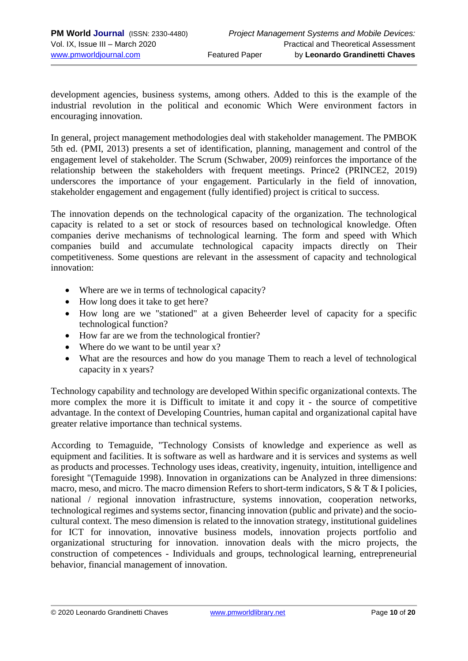development agencies, business systems, among others. Added to this is the example of the industrial revolution in the political and economic Which Were environment factors in encouraging innovation.

In general, project management methodologies deal with stakeholder management. The PMBOK 5th ed. (PMI, 2013) presents a set of identification, planning, management and control of the engagement level of stakeholder. The Scrum (Schwaber, 2009) reinforces the importance of the relationship between the stakeholders with frequent meetings. Prince2 (PRINCE2, 2019) underscores the importance of your engagement. Particularly in the field of innovation, stakeholder engagement and engagement (fully identified) project is critical to success.

The innovation depends on the technological capacity of the organization. The technological capacity is related to a set or stock of resources based on technological knowledge. Often companies derive mechanisms of technological learning. The form and speed with Which companies build and accumulate technological capacity impacts directly on Their competitiveness. Some questions are relevant in the assessment of capacity and technological innovation:

- Where are we in terms of technological capacity?
- How long does it take to get here?
- How long are we "stationed" at a given Beheerder level of capacity for a specific technological function?
- How far are we from the technological frontier?
- Where do we want to be until year x?
- What are the resources and how do you manage Them to reach a level of technological capacity in x years?

Technology capability and technology are developed Within specific organizational contexts. The more complex the more it is Difficult to imitate it and copy it - the source of competitive advantage. In the context of Developing Countries, human capital and organizational capital have greater relative importance than technical systems.

According to Temaguide, "Technology Consists of knowledge and experience as well as equipment and facilities. It is software as well as hardware and it is services and systems as well as products and processes. Technology uses ideas, creativity, ingenuity, intuition, intelligence and foresight "(Temaguide 1998). Innovation in organizations can be Analyzed in three dimensions: macro, meso, and micro. The macro dimension Refers to short-term indicators, S & T & I policies, national / regional innovation infrastructure, systems innovation, cooperation networks, technological regimes and systems sector, financing innovation (public and private) and the sociocultural context. The meso dimension is related to the innovation strategy, institutional guidelines for ICT for innovation, innovative business models, innovation projects portfolio and organizational structuring for innovation. innovation deals with the micro projects, the construction of competences - Individuals and groups, technological learning, entrepreneurial behavior, financial management of innovation.

© 2020 Leonardo Grandinetti Chaves [www.pmworldlibrary.net](http://www.pmworldlibrary.net/) Page **10** of **20**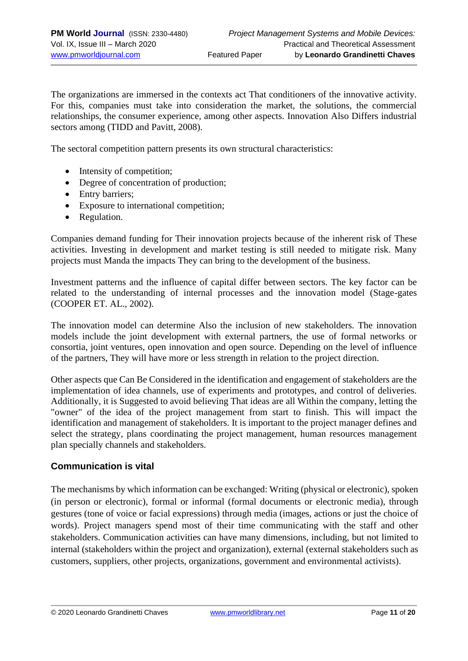The organizations are immersed in the contexts act That conditioners of the innovative activity. For this, companies must take into consideration the market, the solutions, the commercial relationships, the consumer experience, among other aspects. Innovation Also Differs industrial sectors among (TIDD and Pavitt, 2008).

The sectoral competition pattern presents its own structural characteristics:

- Intensity of competition;
- Degree of concentration of production;
- Entry barriers;
- Exposure to international competition;
- Regulation.

Companies demand funding for Their innovation projects because of the inherent risk of These activities. Investing in development and market testing is still needed to mitigate risk. Many projects must Manda the impacts They can bring to the development of the business.

Investment patterns and the influence of capital differ between sectors. The key factor can be related to the understanding of internal processes and the innovation model (Stage-gates (COOPER ET. AL., 2002).

The innovation model can determine Also the inclusion of new stakeholders. The innovation models include the joint development with external partners, the use of formal networks or consortia, joint ventures, open innovation and open source. Depending on the level of influence of the partners, They will have more or less strength in relation to the project direction.

Other aspects que Can Be Considered in the identification and engagement of stakeholders are the implementation of idea channels, use of experiments and prototypes, and control of deliveries. Additionally, it is Suggested to avoid believing That ideas are all Within the company, letting the "owner" of the idea of the project management from start to finish. This will impact the identification and management of stakeholders. It is important to the project manager defines and select the strategy, plans coordinating the project management, human resources management plan specially channels and stakeholders.

#### **Communication is vital**

The mechanisms by which information can be exchanged: Writing (physical or electronic), spoken (in person or electronic), formal or informal (formal documents or electronic media), through gestures (tone of voice or facial expressions) through media (images, actions or just the choice of words). Project managers spend most of their time communicating with the staff and other stakeholders. Communication activities can have many dimensions, including, but not limited to internal (stakeholders within the project and organization), external (external stakeholders such as customers, suppliers, other projects, organizations, government and environmental activists).

© 2020 Leonardo Grandinetti Chaves [www.pmworldlibrary.net](http://www.pmworldlibrary.net/) Page **11** of **20**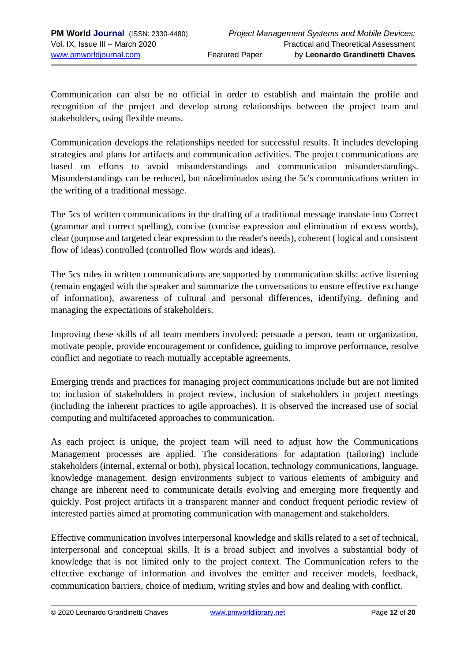Communication can also be no official in order to establish and maintain the profile and recognition of the project and develop strong relationships between the project team and stakeholders, using flexible means.

Communication develops the relationships needed for successful results. It includes developing strategies and plans for artifacts and communication activities. The project communications are based on efforts to avoid misunderstandings and communication misunderstandings. Misunderstandings can be reduced, but nãoeliminados using the 5c's communications written in the writing of a traditional message.

The 5cs of written communications in the drafting of a traditional message translate into Correct (grammar and correct spelling), concise (concise expression and elimination of excess words), clear (purpose and targeted clear expression to the reader's needs), coherent ( logical and consistent flow of ideas) controlled (controlled flow words and ideas).

The 5cs rules in written communications are supported by communication skills: active listening (remain engaged with the speaker and summarize the conversations to ensure effective exchange of information), awareness of cultural and personal differences, identifying, defining and managing the expectations of stakeholders.

Improving these skills of all team members involved: persuade a person, team or organization, motivate people, provide encouragement or confidence, guiding to improve performance, resolve conflict and negotiate to reach mutually acceptable agreements.

Emerging trends and practices for managing project communications include but are not limited to: inclusion of stakeholders in project review, inclusion of stakeholders in project meetings (including the inherent practices to agile approaches). It is observed the increased use of social computing and multifaceted approaches to communication.

As each project is unique, the project team will need to adjust how the Communications Management processes are applied. The considerations for adaptation (tailoring) include stakeholders (internal, external or both), physical location, technology communications, language, knowledge management. design environments subject to various elements of ambiguity and change are inherent need to communicate details evolving and emerging more frequently and quickly. Post project artifacts in a transparent manner and conduct frequent periodic review of interested parties aimed at promoting communication with management and stakeholders.

Effective communication involves interpersonal knowledge and skills related to a set of technical, interpersonal and conceptual skills. It is a broad subject and involves a substantial body of knowledge that is not limited only to the project context. The Communication refers to the effective exchange of information and involves the emitter and receiver models, feedback, communication barriers, choice of medium, writing styles and how and dealing with conflict.

© 2020 Leonardo Grandinetti Chaves [www.pmworldlibrary.net](http://www.pmworldlibrary.net/) Page **12** of **20**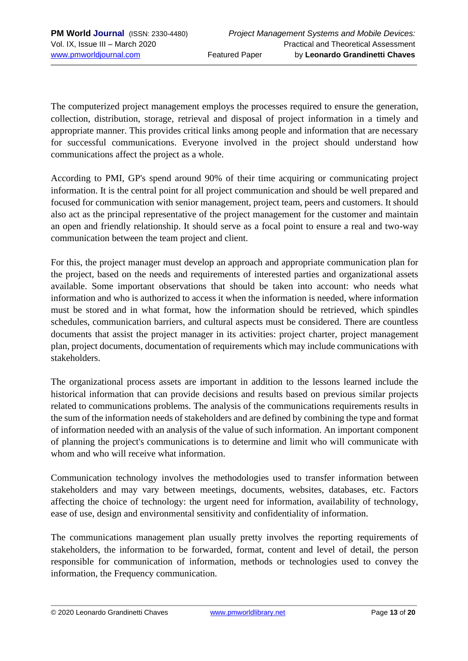The computerized project management employs the processes required to ensure the generation, collection, distribution, storage, retrieval and disposal of project information in a timely and appropriate manner. This provides critical links among people and information that are necessary for successful communications. Everyone involved in the project should understand how communications affect the project as a whole.

According to PMI, GP's spend around 90% of their time acquiring or communicating project information. It is the central point for all project communication and should be well prepared and focused for communication with senior management, project team, peers and customers. It should also act as the principal representative of the project management for the customer and maintain an open and friendly relationship. It should serve as a focal point to ensure a real and two-way communication between the team project and client.

For this, the project manager must develop an approach and appropriate communication plan for the project, based on the needs and requirements of interested parties and organizational assets available. Some important observations that should be taken into account: who needs what information and who is authorized to access it when the information is needed, where information must be stored and in what format, how the information should be retrieved, which spindles schedules, communication barriers, and cultural aspects must be considered. There are countless documents that assist the project manager in its activities: project charter, project management plan, project documents, documentation of requirements which may include communications with stakeholders.

The organizational process assets are important in addition to the lessons learned include the historical information that can provide decisions and results based on previous similar projects related to communications problems. The analysis of the communications requirements results in the sum of the information needs of stakeholders and are defined by combining the type and format of information needed with an analysis of the value of such information. An important component of planning the project's communications is to determine and limit who will communicate with whom and who will receive what information.

Communication technology involves the methodologies used to transfer information between stakeholders and may vary between meetings, documents, websites, databases, etc. Factors affecting the choice of technology: the urgent need for information, availability of technology, ease of use, design and environmental sensitivity and confidentiality of information.

The communications management plan usually pretty involves the reporting requirements of stakeholders, the information to be forwarded, format, content and level of detail, the person responsible for communication of information, methods or technologies used to convey the information, the Frequency communication.

© 2020 Leonardo Grandinetti Chaves [www.pmworldlibrary.net](http://www.pmworldlibrary.net/) Page **13** of **20**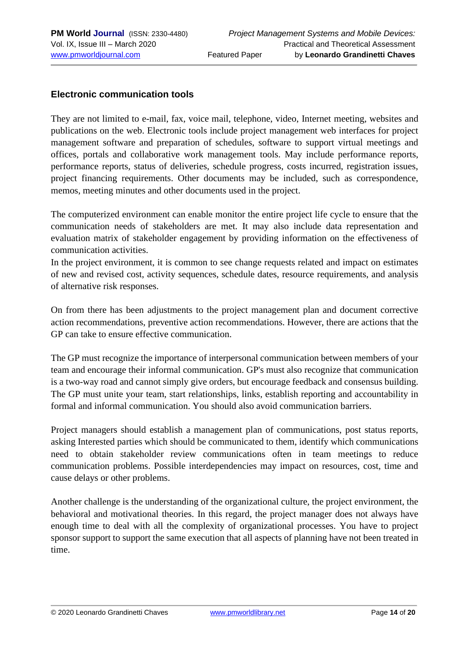## **Electronic communication tools**

They are not limited to e-mail, fax, voice mail, telephone, video, Internet meeting, websites and publications on the web. Electronic tools include project management web interfaces for project management software and preparation of schedules, software to support virtual meetings and offices, portals and collaborative work management tools. May include performance reports, performance reports, status of deliveries, schedule progress, costs incurred, registration issues, project financing requirements. Other documents may be included, such as correspondence, memos, meeting minutes and other documents used in the project.

The computerized environment can enable monitor the entire project life cycle to ensure that the communication needs of stakeholders are met. It may also include data representation and evaluation matrix of stakeholder engagement by providing information on the effectiveness of communication activities.

In the project environment, it is common to see change requests related and impact on estimates of new and revised cost, activity sequences, schedule dates, resource requirements, and analysis of alternative risk responses.

On from there has been adjustments to the project management plan and document corrective action recommendations, preventive action recommendations. However, there are actions that the GP can take to ensure effective communication.

The GP must recognize the importance of interpersonal communication between members of your team and encourage their informal communication. GP's must also recognize that communication is a two-way road and cannot simply give orders, but encourage feedback and consensus building. The GP must unite your team, start relationships, links, establish reporting and accountability in formal and informal communication. You should also avoid communication barriers.

Project managers should establish a management plan of communications, post status reports, asking Interested parties which should be communicated to them, identify which communications need to obtain stakeholder review communications often in team meetings to reduce communication problems. Possible interdependencies may impact on resources, cost, time and cause delays or other problems.

Another challenge is the understanding of the organizational culture, the project environment, the behavioral and motivational theories. In this regard, the project manager does not always have enough time to deal with all the complexity of organizational processes. You have to project sponsor support to support the same execution that all aspects of planning have not been treated in time.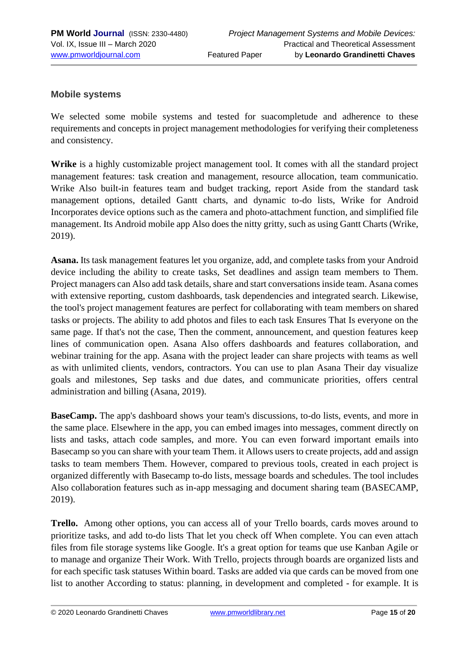#### **Mobile systems**

We selected some mobile systems and tested for suacompletude and adherence to these requirements and concepts in project management methodologies for verifying their completeness and consistency.

**Wrike** is a highly customizable project management tool. It comes with all the standard project management features: task creation and management, resource allocation, team communicatio. Wrike Also built-in features team and budget tracking, report Aside from the standard task management options, detailed Gantt charts, and dynamic to-do lists, Wrike for Android Incorporates device options such as the camera and photo-attachment function, and simplified file management. Its Android mobile app Also does the nitty gritty, such as using Gantt Charts (Wrike, 2019).

**Asana.** Its task management features let you organize, add, and complete tasks from your Android device including the ability to create tasks, Set deadlines and assign team members to Them. Project managers can Also add task details, share and start conversations inside team. Asana comes with extensive reporting, custom dashboards, task dependencies and integrated search. Likewise, the tool's project management features are perfect for collaborating with team members on shared tasks or projects. The ability to add photos and files to each task Ensures That Is everyone on the same page. If that's not the case, Then the comment, announcement, and question features keep lines of communication open. Asana Also offers dashboards and features collaboration, and webinar training for the app. Asana with the project leader can share projects with teams as well as with unlimited clients, vendors, contractors. You can use to plan Asana Their day visualize goals and milestones, Sep tasks and due dates, and communicate priorities, offers central administration and billing (Asana, 2019).

**BaseCamp.** The app's dashboard shows your team's discussions, to-do lists, events, and more in the same place. Elsewhere in the app, you can embed images into messages, comment directly on lists and tasks, attach code samples, and more. You can even forward important emails into Basecamp so you can share with your team Them. it Allows users to create projects, add and assign tasks to team members Them. However, compared to previous tools, created in each project is organized differently with Basecamp to-do lists, message boards and schedules. The tool includes Also collaboration features such as in-app messaging and document sharing team (BASECAMP, 2019).

**Trello.** Among other options, you can access all of your Trello boards, cards moves around to prioritize tasks, and add to-do lists That let you check off When complete. You can even attach files from file storage systems like Google. It's a great option for teams que use Kanban Agile or to manage and organize Their Work. With Trello, projects through boards are organized lists and for each specific task statuses Within board. Tasks are added via que cards can be moved from one list to another According to status: planning, in development and completed - for example. It is

© 2020 Leonardo Grandinetti Chaves [www.pmworldlibrary.net](http://www.pmworldlibrary.net/) Page **15** of **20**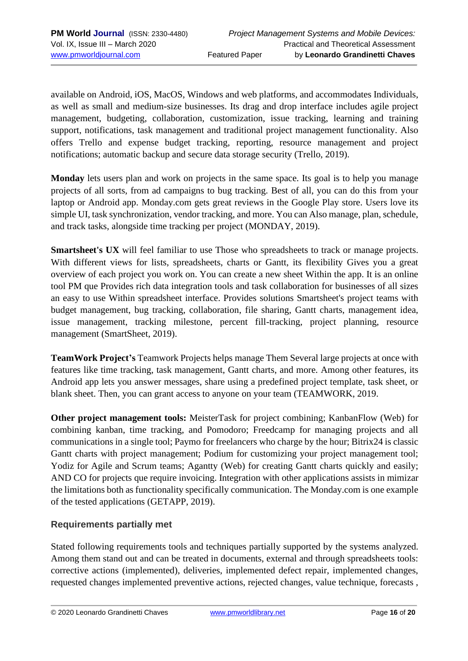available on Android, iOS, MacOS, Windows and web platforms, and accommodates Individuals, as well as small and medium-size businesses. Its drag and drop interface includes agile project management, budgeting, collaboration, customization, issue tracking, learning and training support, notifications, task management and traditional project management functionality. Also offers Trello and expense budget tracking, reporting, resource management and project notifications; automatic backup and secure data storage security (Trello, 2019).

**Monday** lets users plan and work on projects in the same space. Its goal is to help you manage projects of all sorts, from ad campaigns to bug tracking. Best of all, you can do this from your laptop or Android app. Monday.com gets great reviews in the Google Play store. Users love its simple UI, task synchronization, vendor tracking, and more. You can Also manage, plan, schedule, and track tasks, alongside time tracking per project (MONDAY, 2019).

**Smartsheet's UX** will feel familiar to use Those who spreadsheets to track or manage projects. With different views for lists, spreadsheets, charts or Gantt, its flexibility Gives you a great overview of each project you work on. You can create a new sheet Within the app. It is an online tool PM que Provides rich data integration tools and task collaboration for businesses of all sizes an easy to use Within spreadsheet interface. Provides solutions Smartsheet's project teams with budget management, bug tracking, collaboration, file sharing, Gantt charts, management idea, issue management, tracking milestone, percent fill-tracking, project planning, resource management (SmartSheet, 2019).

**TeamWork Project's** Teamwork Projects helps manage Them Several large projects at once with features like time tracking, task management, Gantt charts, and more. Among other features, its Android app lets you answer messages, share using a predefined project template, task sheet, or blank sheet. Then, you can grant access to anyone on your team (TEAMWORK, 2019.

**Other project management tools:** MeisterTask for project combining; KanbanFlow (Web) for combining kanban, time tracking, and Pomodoro; Freedcamp for managing projects and all communications in a single tool; Paymo for freelancers who charge by the hour; Bitrix24 is classic Gantt charts with project management; Podium for customizing your project management tool; Yodiz for Agile and Scrum teams; Agantty (Web) for creating Gantt charts quickly and easily; AND CO for projects que require invoicing. Integration with other applications assists in mimizar the limitations both as functionality specifically communication. The Monday.com is one example of the tested applications (GETAPP, 2019).

## **Requirements partially met**

Stated following requirements tools and techniques partially supported by the systems analyzed. Among them stand out and can be treated in documents, external and through spreadsheets tools: corrective actions (implemented), deliveries, implemented defect repair, implemented changes, requested changes implemented preventive actions, rejected changes, value technique, forecasts ,

© 2020 Leonardo Grandinetti Chaves [www.pmworldlibrary.net](http://www.pmworldlibrary.net/) Page **16** of **20**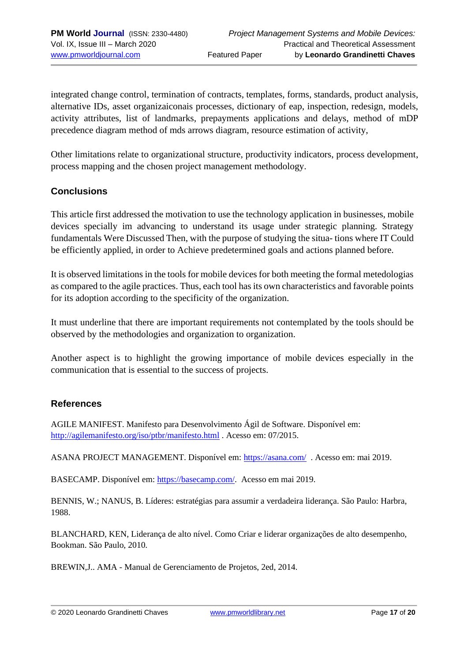integrated change control, termination of contracts, templates, forms, standards, product analysis, alternative IDs, asset organizaiconais processes, dictionary of eap, inspection, redesign, models, activity attributes, list of landmarks, prepayments applications and delays, method of mDP precedence diagram method of mds arrows diagram, resource estimation of activity,

Other limitations relate to organizational structure, productivity indicators, process development, process mapping and the chosen project management methodology.

## **Conclusions**

This article first addressed the motivation to use the technology application in businesses, mobile devices specially im advancing to understand its usage under strategic planning. Strategy fundamentals Were Discussed Then, with the purpose of studying the situa- tions where IT Could be efficiently applied, in order to Achieve predetermined goals and actions planned before.

It is observed limitations in the tools for mobile devices for both meeting the formal metedologias as compared to the agile practices. Thus, each tool has its own characteristics and favorable points for its adoption according to the specificity of the organization.

It must underline that there are important requirements not contemplated by the tools should be observed by the methodologies and organization to organization.

Another aspect is to highlight the growing importance of mobile devices especially in the communication that is essential to the success of projects.

#### **References**

AGILE MANIFEST. Manifesto para Desenvolvimento Ágil de Software. Disponível em: <http://agilemanifesto.org/iso/ptbr/manifesto.html> . Acesso em: 07/2015.

ASANA PROJECT MANAGEMENT. Disponível em:<https://asana.com/>. Acesso em: mai 2019.

BASECAMP. Disponível em: [https://basecamp.com/.](https://basecamp.com/) Acesso em mai 2019.

BENNIS, W.; NANUS, B. Líderes: estratégias para assumir a verdadeira liderança. São Paulo: Harbra, 1988.

BLANCHARD, KEN, Liderança de alto nível. Como Criar e liderar organizações de alto desempenho, Bookman. São Paulo, 2010.

BREWIN,J.. AMA - Manual de Gerenciamento de Projetos, 2ed, 2014.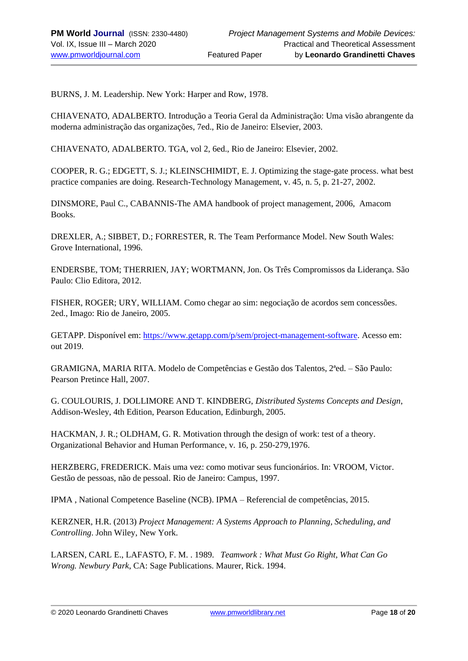BURNS, J. M. Leadership. New York: Harper and Row, 1978.

CHIAVENATO, ADALBERTO. Introdução a Teoria Geral da Administração: Uma visão abrangente da moderna administração das organizações, 7ed., Rio de Janeiro: Elsevier, 2003.

CHIAVENATO, ADALBERTO. TGA, vol 2, 6ed., Rio de Janeiro: Elsevier, 2002.

COOPER, R. G.; EDGETT, S. J.; KLEINSCHIMIDT, E. J. Optimizing the stage-gate process. what best practice companies are doing. Research-Technology Management, v. 45, n. 5, p. 21-27, 2002.

DINSMORE, Paul C., CABANNIS-The AMA handbook of project management, 2006, Amacom Books.

DREXLER, A.; SIBBET, D.; FORRESTER, R. The Team Performance Model. New South Wales: Grove International, 1996.

ENDERSBE, TOM; THERRIEN, JAY; WORTMANN, Jon. Os Três Compromissos da Liderança. São Paulo: Clio Editora, 2012.

FISHER, ROGER; URY, WILLIAM. Como chegar ao sim: negociação de acordos sem concessões. 2ed., Imago: Rio de Janeiro, 2005.

GETAPP. Disponível em: [https://www.getapp.com/p/sem/project-management-software.](https://www.getapp.com/p/sem/project-management-software) Acesso em: out 2019.

GRAMIGNA, MARIA RITA. Modelo de Competências e Gestão dos Talentos, 2ªed. – São Paulo: Pearson Pretince Hall, 2007.

G. COULOURIS, J. DOLLIMORE AND T. KINDBERG, *Distributed Systems Concepts and Design*, Addison-Wesley, 4th Edition, Pearson Education, Edinburgh, 2005.

HACKMAN, J. R.; OLDHAM, G. R. Motivation through the design of work: test of a theory. Organizational Behavior and Human Performance, v. 16, p. 250-279,1976.

HERZBERG, FREDERICK. Mais uma vez: como motivar seus funcionários. In: VROOM, Victor. Gestão de pessoas, não de pessoal. Rio de Janeiro: Campus, 1997.

IPMA , National Competence Baseline (NCB). IPMA – Referencial de competências, 2015.

KERZNER, H.R. (2013) *Project Management: A Systems Approach to Planning, Scheduling, and Controlling*. John Wiley, New York.

LARSEN, CARL E., LAFASTO, F. M. . 1989. *Teamwork : What Must Go Right, What Can Go Wrong. Newbury Park*, CA: Sage Publications. Maurer, Rick. 1994.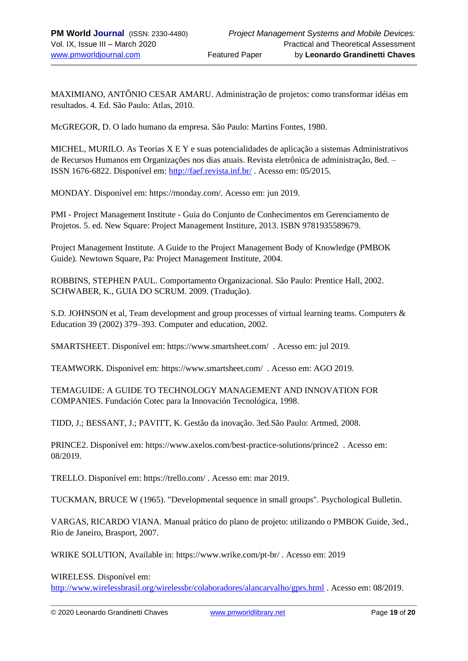MAXIMIANO, ANTÔNIO CESAR AMARU. Administração de projetos: como transformar idéias em resultados. 4. Ed. São Paulo: Atlas, 2010.

McGREGOR, D. O lado humano da empresa. São Paulo: Martins Fontes, 1980.

MICHEL, MURILO. As Teorias X E Y e suas potencialidades de aplicação a sistemas Administrativos de Recursos Humanos em Organizações nos dias atuais. Revista eletrônica de administração, 8ed. – ISSN 1676-6822. Disponível em:<http://faef.revista.inf.br/> . Acesso em: 05/2015.

MONDAY. Disponível em: [https://monday.com/.](https://monday.com/) Acesso em: jun 2019.

PMI - Project Management Institute - Guia do Conjunto de Conhecimentos em Gerenciamento de Projetos. 5. ed. New Square: Project Management Institure, 2013. ISBN 9781935589679.

Project Management Institute. A Guide to the Project Management Body of Knowledge (PMBOK Guide). Newtown Square, Pa: Project Management Institute, 2004.

ROBBINS, STEPHEN PAUL. Comportamento Organizacional. São Paulo: Prentice Hall, 2002. SCHWABER, K., GUIA DO SCRUM. 2009. (Tradução).

S.D. JOHNSON et al, Team development and group processes of virtual learning teams. Computers & Education 39 (2002) 379–393. Computer and education, 2002.

SMARTSHEET. Disponível em[: https://www.smartsheet.com/](https://www.smartsheet.com/) . Acesso em: jul 2019.

TEAMWORK. Disponível em:<https://www.smartsheet.com/>. Acesso em: AGO 2019.

TEMAGUIDE: A GUIDE TO TECHNOLOGY MANAGEMENT AND INNOVATION FOR COMPANIES. Fundación Cotec para la Innovación Tecnológica, 1998.

TIDD, J.; BESSANT, J.; PAVITT, K. Gestão da inovação. 3ed.São Paulo: Artmed, 2008.

PRINCE2. Disponível em:<https://www.axelos.com/best-practice-solutions/prince2>. Acesso em: 08/2019.

TRELLO. Disponível em[: https://trello.com/](https://trello.com/) . Acesso em: mar 2019.

TUCKMAN, BRUCE W (1965). "Developmental sequence in small groups". Psychological Bulletin.

VARGAS, RICARDO VIANA. Manual prático do plano de projeto: utilizando o PMBOK Guide, 3ed., Rio de Janeiro, Brasport, 2007.

WRIKE SOLUTION, Available in:<https://www.wrike.com/pt-br/> . Acesso em: 2019

WIRELESS. Disponível em:

<http://www.wirelessbrasil.org/wirelessbr/colaboradores/alancarvalho/gprs.html> . Acesso em: 08/2019.

© 2020 Leonardo Grandinetti Chaves [www.pmworldlibrary.net](http://www.pmworldlibrary.net/) Page **19** of **20**